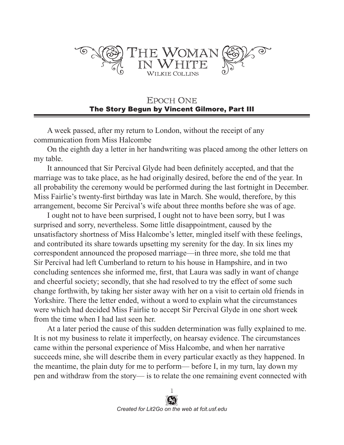

**EPOCH ONE** The Story Begun by Vincent Gilmore, Part III

A week passed, after my return to London, without the receipt of any communication from Miss Halcombe

On the eighth day a letter in her handwriting was placed among the other letters on my table.

It announced that Sir Percival Glyde had been definitely accepted, and that the marriage was to take place, as he had originally desired, before the end of the year. In all probability the ceremony would be performed during the last fortnight in December. Miss Fairlie's twenty-first birthday was late in March. She would, therefore, by this arrangement, become Sir Percival's wife about three months before she was of age.

I ought not to have been surprised, I ought not to have been sorry, but I was surprised and sorry, nevertheless. Some little disappointment, caused by the unsatisfactory shortness of Miss Halcombe's letter, mingled itself with these feelings, and contributed its share towards upsetting my serenity for the day. In six lines my correspondent announced the proposed marriage—in three more, she told me that Sir Percival had left Cumberland to return to his house in Hampshire, and in two concluding sentences she informed me, first, that Laura was sadly in want of change and cheerful society; secondly, that she had resolved to try the effect of some such change forthwith, by taking her sister away with her on a visit to certain old friends in Yorkshire. There the letter ended, without a word to explain what the circumstances were which had decided Miss Fairlie to accept Sir Percival Glyde in one short week from the time when I had last seen her.

At a later period the cause of this sudden determination was fully explained to me. It is not my business to relate it imperfectly, on hearsay evidence. The circumstances came within the personal experience of Miss Halcombe, and when her narrative succeeds mine, she will describe them in every particular exactly as they happened. In the meantime, the plain duty for me to perform— before I, in my turn, lay down my pen and withdraw from the story— is to relate the one remaining event connected with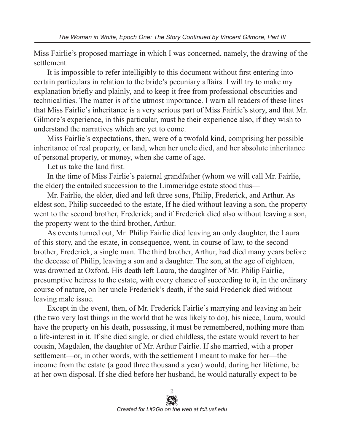Miss Fairlie's proposed marriage in which I was concerned, namely, the drawing of the settlement.

It is impossible to refer intelligibly to this document without first entering into certain particulars in relation to the bride's pecuniary affairs. I will try to make my explanation briefly and plainly, and to keep it free from professional obscurities and technicalities. The matter is of the utmost importance. I warn all readers of these lines that Miss Fairlie's inheritance is a very serious part of Miss Fairlie's story, and that Mr. Gilmore's experience, in this particular, must be their experience also, if they wish to understand the narratives which are yet to come.

Miss Fairlie's expectations, then, were of a twofold kind, comprising her possible inheritance of real property, or land, when her uncle died, and her absolute inheritance of personal property, or money, when she came of age.

Let us take the land first.

In the time of Miss Fairlie's paternal grandfather (whom we will call Mr. Fairlie, the elder) the entailed succession to the Limmeridge estate stood thus—

Mr. Fairlie, the elder, died and left three sons, Philip, Frederick, and Arthur. As eldest son, Philip succeeded to the estate, If he died without leaving a son, the property went to the second brother, Frederick; and if Frederick died also without leaving a son, the property went to the third brother, Arthur.

As events turned out, Mr. Philip Fairlie died leaving an only daughter, the Laura of this story, and the estate, in consequence, went, in course of law, to the second brother, Frederick, a single man. The third brother, Arthur, had died many years before the decease of Philip, leaving a son and a daughter. The son, at the age of eighteen, was drowned at Oxford. His death left Laura, the daughter of Mr. Philip Fairlie, presumptive heiress to the estate, with every chance of succeeding to it, in the ordinary course of nature, on her uncle Frederick's death, if the said Frederick died without leaving male issue.

Except in the event, then, of Mr. Frederick Fairlie's marrying and leaving an heir (the two very last things in the world that he was likely to do), his niece, Laura, would have the property on his death, possessing, it must be remembered, nothing more than a life-interest in it. If she died single, or died childless, the estate would revert to her cousin, Magdalen, the daughter of Mr. Arthur Fairlie. If she married, with a proper settlement—or, in other words, with the settlement I meant to make for her—the income from the estate (a good three thousand a year) would, during her lifetime, be at her own disposal. If she died before her husband, he would naturally expect to be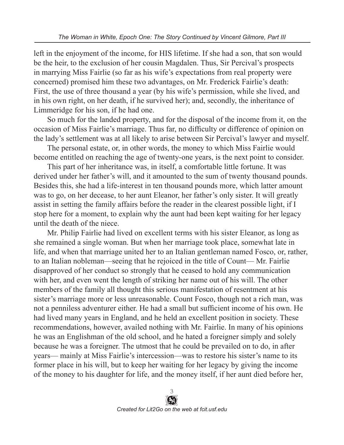left in the enjoyment of the income, for HIS lifetime. If she had a son, that son would be the heir, to the exclusion of her cousin Magdalen. Thus, Sir Percival's prospects in marrying Miss Fairlie (so far as his wife's expectations from real property were concerned) promised him these two advantages, on Mr. Frederick Fairlie's death: First, the use of three thousand a year (by his wife's permission, while she lived, and in his own right, on her death, if he survived her); and, secondly, the inheritance of Limmeridge for his son, if he had one.

So much for the landed property, and for the disposal of the income from it, on the occasion of Miss Fairlie's marriage. Thus far, no difficulty or difference of opinion on the lady's settlement was at all likely to arise between Sir Percival's lawyer and myself.

The personal estate, or, in other words, the money to which Miss Fairlie would become entitled on reaching the age of twenty-one years, is the next point to consider.

This part of her inheritance was, in itself, a comfortable little fortune. It was derived under her father's will, and it amounted to the sum of twenty thousand pounds. Besides this, she had a life-interest in ten thousand pounds more, which latter amount was to go, on her decease, to her aunt Eleanor, her father's only sister. It will greatly assist in setting the family affairs before the reader in the clearest possible light, if I stop here for a moment, to explain why the aunt had been kept waiting for her legacy until the death of the niece.

Mr. Philip Fairlie had lived on excellent terms with his sister Eleanor, as long as she remained a single woman. But when her marriage took place, somewhat late in life, and when that marriage united her to an Italian gentleman named Fosco, or, rather, to an Italian nobleman—seeing that he rejoiced in the title of Count— Mr. Fairlie disapproved of her conduct so strongly that he ceased to hold any communication with her, and even went the length of striking her name out of his will. The other members of the family all thought this serious manifestation of resentment at his sister's marriage more or less unreasonable. Count Fosco, though not a rich man, was not a penniless adventurer either. He had a small but sufficient income of his own. He had lived many years in England, and he held an excellent position in society. These recommendations, however, availed nothing with Mr. Fairlie. In many of his opinions he was an Englishman of the old school, and he hated a foreigner simply and solely because he was a foreigner. The utmost that he could be prevailed on to do, in after years— mainly at Miss Fairlie's intercession—was to restore his sister's name to its former place in his will, but to keep her waiting for her legacy by giving the income of the money to his daughter for life, and the money itself, if her aunt died before her,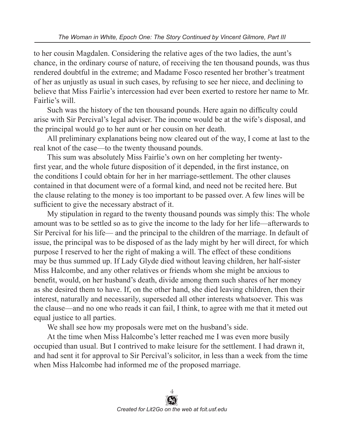to her cousin Magdalen. Considering the relative ages of the two ladies, the aunt's chance, in the ordinary course of nature, of receiving the ten thousand pounds, was thus rendered doubtful in the extreme; and Madame Fosco resented her brother's treatment of her as unjustly as usual in such cases, by refusing to see her niece, and declining to believe that Miss Fairlie's intercession had ever been exerted to restore her name to Mr. Fairlie's will.

Such was the history of the ten thousand pounds. Here again no difficulty could arise with Sir Percival's legal adviser. The income would be at the wife's disposal, and the principal would go to her aunt or her cousin on her death.

All preliminary explanations being now cleared out of the way, I come at last to the real knot of the case—to the twenty thousand pounds.

This sum was absolutely Miss Fairlie's own on her completing her twentyfirst year, and the whole future disposition of it depended, in the first instance, on the conditions I could obtain for her in her marriage-settlement. The other clauses contained in that document were of a formal kind, and need not be recited here. But the clause relating to the money is too important to be passed over. A few lines will be sufficient to give the necessary abstract of it.

My stipulation in regard to the twenty thousand pounds was simply this: The whole amount was to be settled so as to give the income to the lady for her life—afterwards to Sir Percival for his life— and the principal to the children of the marriage. In default of issue, the principal was to be disposed of as the lady might by her will direct, for which purpose I reserved to her the right of making a will. The effect of these conditions may be thus summed up. If Lady Glyde died without leaving children, her half-sister Miss Halcombe, and any other relatives or friends whom she might be anxious to benefit, would, on her husband's death, divide among them such shares of her money as she desired them to have. If, on the other hand, she died leaving children, then their interest, naturally and necessarily, superseded all other interests whatsoever. This was the clause—and no one who reads it can fail, I think, to agree with me that it meted out equal justice to all parties.

We shall see how my proposals were met on the husband's side.

At the time when Miss Halcombe's letter reached me I was even more busily occupied than usual. But I contrived to make leisure for the settlement. I had drawn it, and had sent it for approval to Sir Percival's solicitor, in less than a week from the time when Miss Halcombe had informed me of the proposed marriage.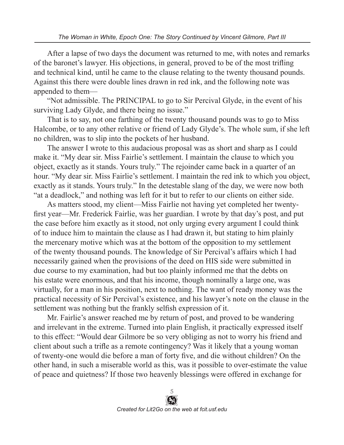After a lapse of two days the document was returned to me, with notes and remarks of the baronet's lawyer. His objections, in general, proved to be of the most trifling and technical kind, until he came to the clause relating to the twenty thousand pounds. Against this there were double lines drawn in red ink, and the following note was appended to them—

"Not admissible. The PRINCIPAL to go to Sir Percival Glyde, in the event of his surviving Lady Glyde, and there being no issue."

That is to say, not one farthing of the twenty thousand pounds was to go to Miss Halcombe, or to any other relative or friend of Lady Glyde's. The whole sum, if she left no children, was to slip into the pockets of her husband.

The answer I wrote to this audacious proposal was as short and sharp as I could make it. "My dear sir. Miss Fairlie's settlement. I maintain the clause to which you object, exactly as it stands. Yours truly." The rejoinder came back in a quarter of an hour. "My dear sir. Miss Fairlie's settlement. I maintain the red ink to which you object, exactly as it stands. Yours truly." In the detestable slang of the day, we were now both "at a deadlock," and nothing was left for it but to refer to our clients on either side.

As matters stood, my client—Miss Fairlie not having yet completed her twentyfirst year—Mr. Frederick Fairlie, was her guardian. I wrote by that day's post, and put the case before him exactly as it stood, not only urging every argument I could think of to induce him to maintain the clause as I had drawn it, but stating to him plainly the mercenary motive which was at the bottom of the opposition to my settlement of the twenty thousand pounds. The knowledge of Sir Percival's affairs which I had necessarily gained when the provisions of the deed on HIS side were submitted in due course to my examination, had but too plainly informed me that the debts on his estate were enormous, and that his income, though nominally a large one, was virtually, for a man in his position, next to nothing. The want of ready money was the practical necessity of Sir Percival's existence, and his lawyer's note on the clause in the settlement was nothing but the frankly selfish expression of it.

Mr. Fairlie's answer reached me by return of post, and proved to be wandering and irrelevant in the extreme. Turned into plain English, it practically expressed itself to this effect: "Would dear Gilmore be so very obliging as not to worry his friend and client about such a trifle as a remote contingency? Was it likely that a young woman of twenty-one would die before a man of forty five, and die without children? On the other hand, in such a miserable world as this, was it possible to over-estimate the value of peace and quietness? If those two heavenly blessings were offered in exchange for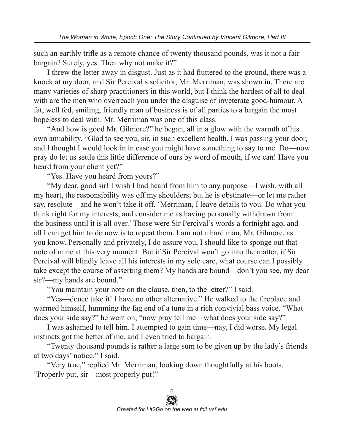such an earthly trifle as a remote chance of twenty thousand pounds, was it not a fair bargain? Surely, yes. Then why not make it?"

I threw the letter away in disgust. Just as it had fluttered to the ground, there was a knock at my door, and Sir Percival s solicitor, Mr. Merriman, was shown in. There are many varieties of sharp practitioners in this world, but I think the hardest of all to deal with are the men who overreach you under the disguise of inveterate good-humour. A fat, well fed, smiling, friendly man of business is of all parties to a bargain the most hopeless to deal with. Mr. Merriman was one of this class.

"And how is good Mr. Gilmore?" he began, all in a glow with the warmth of his own amiability. "Glad to see you, sir, in such excellent health. I was passing your door, and I thought I would look in in case you might have something to say to me. Do—now pray do let us settle this little difference of ours by word of mouth, if we can! Have you heard from your client yet?"

"Yes. Have you heard from yours?"

"My dear, good sir! I wish I had heard from him to any purpose—I wish, with all my heart, the responsibility was off my shoulders; but he is obstinate—or let me rather say, resolute—and he won't take it off. 'Merriman, I leave details to you. Do what you think right for my interests, and consider me as having personally withdrawn from the business until it is all over.' Those were Sir Percival's words a fortnight ago, and all I can get him to do now is to repeat them. I am not a hard man, Mr. Gilmore, as you know. Personally and privately, I do assure you, I should like to sponge out that note of mine at this very moment. But if Sir Percival won't go into the matter, if Sir Percival will blindly leave all his interests in my sole care, what course can I possibly take except the course of asserting them? My hands are bound—don't you see, my dear sir?—my hands are bound."

"You maintain your note on the clause, then, to the letter?" I said.

"Yes—deuce take it! I have no other alternative." He walked to the fireplace and warmed himself, humming the fag end of a tune in a rich convivial bass voice. "What does your side say?" he went on; "now pray tell me—what does your side say?"

I was ashamed to tell him. I attempted to gain time—nay, I did worse. My legal instincts got the better of me, and I even tried to bargain.

"Twenty thousand pounds is rather a large sum to be given up by the lady's friends at two days' notice," I said.

"Very true," replied Mr. Merriman, looking down thoughtfully at his boots. "Properly put, sir—most properly put!"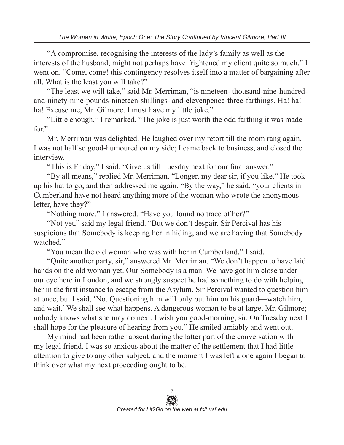*The Woman in White, Epoch One: The Story Continued by Vincent Gilmore, Part III*

"A compromise, recognising the interests of the lady's family as well as the interests of the husband, might not perhaps have frightened my client quite so much," I went on. "Come, come! this contingency resolves itself into a matter of bargaining after all. What is the least you will take?"

"The least we will take," said Mr. Merriman, "is nineteen- thousand-nine-hundredand-ninety-nine-pounds-nineteen-shillings- and-elevenpence-three-farthings. Ha! ha! ha! Excuse me, Mr. Gilmore. I must have my little joke."

"Little enough," I remarked. "The joke is just worth the odd farthing it was made for."

Mr. Merriman was delighted. He laughed over my retort till the room rang again. I was not half so good-humoured on my side; I came back to business, and closed the interview.

"This is Friday," I said. "Give us till Tuesday next for our final answer."

"By all means," replied Mr. Merriman. "Longer, my dear sir, if you like." He took up his hat to go, and then addressed me again. "By the way," he said, "your clients in Cumberland have not heard anything more of the woman who wrote the anonymous letter, have they?"

"Nothing more," I answered. "Have you found no trace of her?"

"Not yet," said my legal friend. "But we don't despair. Sir Percival has his suspicions that Somebody is keeping her in hiding, and we are having that Somebody watched."

"You mean the old woman who was with her in Cumberland," I said.

"Quite another party, sir," answered Mr. Merriman. "We don't happen to have laid hands on the old woman yet. Our Somebody is a man. We have got him close under our eye here in London, and we strongly suspect he had something to do with helping her in the first instance to escape from the Asylum. Sir Percival wanted to question him at once, but I said, 'No. Questioning him will only put him on his guard—watch him, and wait.' We shall see what happens. A dangerous woman to be at large, Mr. Gilmore; nobody knows what she may do next. I wish you good-morning, sir. On Tuesday next I shall hope for the pleasure of hearing from you." He smiled amiably and went out.

My mind had been rather absent during the latter part of the conversation with my legal friend. I was so anxious about the matter of the settlement that I had little attention to give to any other subject, and the moment I was left alone again I began to think over what my next proceeding ought to be.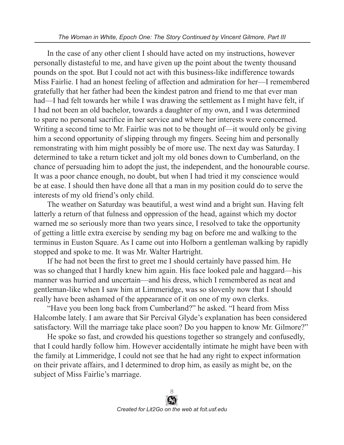In the case of any other client I should have acted on my instructions, however personally distasteful to me, and have given up the point about the twenty thousand pounds on the spot. But I could not act with this business-like indifference towards Miss Fairlie. I had an honest feeling of affection and admiration for her—I remembered gratefully that her father had been the kindest patron and friend to me that ever man had—I had felt towards her while I was drawing the settlement as I might have felt, if I had not been an old bachelor, towards a daughter of my own, and I was determined to spare no personal sacrifice in her service and where her interests were concerned. Writing a second time to Mr. Fairlie was not to be thought of—it would only be giving him a second opportunity of slipping through my fingers. Seeing him and personally remonstrating with him might possibly be of more use. The next day was Saturday. I determined to take a return ticket and jolt my old bones down to Cumberland, on the chance of persuading him to adopt the just, the independent, and the honourable course. It was a poor chance enough, no doubt, but when I had tried it my conscience would be at ease. I should then have done all that a man in my position could do to serve the interests of my old friend's only child.

The weather on Saturday was beautiful, a west wind and a bright sun. Having felt latterly a return of that fulness and oppression of the head, against which my doctor warned me so seriously more than two years since, I resolved to take the opportunity of getting a little extra exercise by sending my bag on before me and walking to the terminus in Euston Square. As I came out into Holborn a gentleman walking by rapidly stopped and spoke to me. It was Mr. Walter Hartright.

If he had not been the first to greet me I should certainly have passed him. He was so changed that I hardly knew him again. His face looked pale and haggard—his manner was hurried and uncertain—and his dress, which I remembered as neat and gentleman-like when I saw him at Limmeridge, was so slovenly now that I should really have been ashamed of the appearance of it on one of my own clerks.

"Have you been long back from Cumberland?" he asked. "I heard from Miss Halcombe lately. I am aware that Sir Percival Glyde's explanation has been considered satisfactory. Will the marriage take place soon? Do you happen to know Mr. Gilmore?"

He spoke so fast, and crowded his questions together so strangely and confusedly, that I could hardly follow him. However accidentally intimate he might have been with the family at Limmeridge, I could not see that he had any right to expect information on their private affairs, and I determined to drop him, as easily as might be, on the subject of Miss Fairlie's marriage.